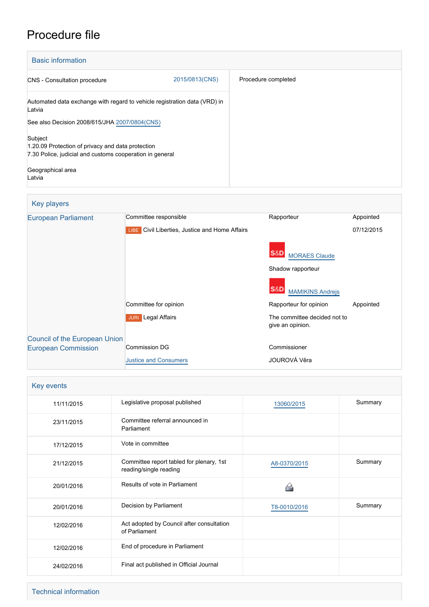# Procedure file

| <b>Basic information</b>                                                                                                                      |                     |  |  |
|-----------------------------------------------------------------------------------------------------------------------------------------------|---------------------|--|--|
| 2015/0813(CNS)<br><b>CNS</b> - Consultation procedure                                                                                         | Procedure completed |  |  |
| Automated data exchange with regard to vehicle registration data (VRD) in<br>Latvia                                                           |                     |  |  |
| See also Decision 2008/615/JHA 2007/0804(CNS)                                                                                                 |                     |  |  |
| Subject<br>1.20.09 Protection of privacy and data protection<br>7.30 Police, judicial and customs cooperation in general<br>Geographical area |                     |  |  |
| Latvia                                                                                                                                        |                     |  |  |

| Key players                          |                                                |                                                  |            |
|--------------------------------------|------------------------------------------------|--------------------------------------------------|------------|
| <b>European Parliament</b>           | Committee responsible                          | Rapporteur                                       | Appointed  |
|                                      | LIBE Civil Liberties, Justice and Home Affairs |                                                  | 07/12/2015 |
|                                      |                                                | <b>MORAES Claude</b>                             |            |
|                                      |                                                | Shadow rapporteur                                |            |
|                                      |                                                | <b>MAMIKINS Andreis</b>                          |            |
|                                      | Committee for opinion                          | Rapporteur for opinion                           | Appointed  |
|                                      | <b>JURI</b> Legal Affairs                      | The committee decided not to<br>give an opinion. |            |
| <b>Council of the European Union</b> |                                                |                                                  |            |
| <b>European Commission</b>           | <b>Commission DG</b>                           | Commissioner                                     |            |
|                                      | <b>Justice and Consumers</b>                   | JOUROVÁ Věra                                     |            |

| Key events |                                                                    |              |         |  |
|------------|--------------------------------------------------------------------|--------------|---------|--|
| 11/11/2015 | Legislative proposal published                                     | 13060/2015   | Summary |  |
| 23/11/2015 | Committee referral announced in<br>Parliament                      |              |         |  |
| 17/12/2015 | Vote in committee                                                  |              |         |  |
| 21/12/2015 | Committee report tabled for plenary, 1st<br>reading/single reading | A8-0370/2015 | Summary |  |
| 20/01/2016 | Results of vote in Parliament                                      |              |         |  |
| 20/01/2016 | Decision by Parliament                                             | T8-0010/2016 | Summary |  |
| 12/02/2016 | Act adopted by Council after consultation<br>of Parliament         |              |         |  |
| 12/02/2016 | End of procedure in Parliament                                     |              |         |  |
| 24/02/2016 | Final act published in Official Journal                            |              |         |  |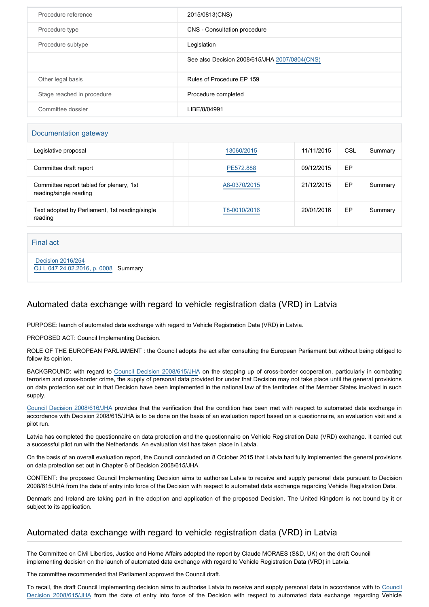| Procedure reference        | 2015/0813(CNS)                                |
|----------------------------|-----------------------------------------------|
| Procedure type             | CNS - Consultation procedure                  |
| Procedure subtype          | Legislation                                   |
|                            | See also Decision 2008/615/JHA 2007/0804(CNS) |
| Other legal basis          | Rules of Procedure EP 159                     |
| Stage reached in procedure | Procedure completed                           |
| Committee dossier          | LIBE/8/04991                                  |

#### Documentation gateway

| Legislative proposal                                               | 13060/2015   | 11/11/2015 | CSL | Summary |
|--------------------------------------------------------------------|--------------|------------|-----|---------|
| Committee draft report                                             | PE572.888    | 09/12/2015 | EP  |         |
| Committee report tabled for plenary, 1st<br>reading/single reading | A8-0370/2015 | 21/12/2015 | EP  | Summary |
| Text adopted by Parliament, 1st reading/single<br>reading          | T8-0010/2016 | 20/01/2016 | EP  | Summary |

Final act

 [Decision 2016/254](https://eur-lex.europa.eu/smartapi/cgi/sga_doc?smartapi!celexplus!prod!CELEXnumdoc&lg=EN&numdoc=32016D0254) [OJ L 047 24.02.2016, p. 0008](https://eur-lex.europa.eu/legal-content/EN/TXT/?uri=OJ:L:2016:047:TOC) Summary

# Automated data exchange with regard to vehicle registration data (VRD) in Latvia

PURPOSE: launch of automated data exchange with regard to Vehicle Registration Data (VRD) in Latvia.

PROPOSED ACT: Council Implementing Decision.

ROLE OF THE EUROPEAN PARLIAMENT : the Council adopts the act after consulting the European Parliament but without being obliged to follow its opinion.

BACKGROUND: with regard to [Council Decision 2008/615/JHA](http://www.europarl.europa.eu/oeil/popups/ficheprocedure.do?reference=2007/0804(CNS)&l=en) on the stepping up of cross-border cooperation, particularly in combating terrorism and cross-border crime, the supply of personal data provided for under that Decision may not take place until the general provisions on data protection set out in that Decision have been implemented in the national law of the territories of the Member States involved in such supply.

[Council Decision 2008/616/JHA](http://www.europarl.europa.eu/oeil/popups/ficheprocedure.do?reference=2007/0821(CNS)&l=en) provides that the verification that the condition has been met with respect to automated data exchange in accordance with Decision 2008/615/JHA is to be done on the basis of an evaluation report based on a questionnaire, an evaluation visit and a pilot run.

Latvia has completed the questionnaire on data protection and the questionnaire on Vehicle Registration Data (VRD) exchange. It carried out a successful pilot run with the Netherlands. An evaluation visit has taken place in Latvia.

On the basis of an overall evaluation report, the Council concluded on 8 October 2015 that Latvia had fully implemented the general provisions on data protection set out in Chapter 6 of Decision 2008/615/JHA.

CONTENT: the proposed Council Implementing Decision aims to authorise Latvia to receive and supply personal data pursuant to Decision 2008/615/JHA from the date of entry into force of the Decision with respect to automated data exchange regarding Vehicle Registration Data.

Denmark and Ireland are taking part in the adoption and application of the proposed Decision. The United Kingdom is not bound by it or subject to its application.

### Automated data exchange with regard to vehicle registration data (VRD) in Latvia

The Committee on Civil Liberties, Justice and Home Affairs adopted the report by Claude MORAES (S&D, UK) on the draft Council implementing decision on the launch of automated data exchange with regard to Vehicle Registration Data (VRD) in Latvia.

The committee recommended that Parliament approved the Council draft.

To recall, the draft Council Implementing decision aims to authorise Latvia to receive and supply personal data in accordance with to [Council](http://www.europarl.europa.eu/oeil/popups/ficheprocedure.do?reference=2007/0804(CNS)&l=en) [Decision 2008/615/JHA](http://www.europarl.europa.eu/oeil/popups/ficheprocedure.do?reference=2007/0804(CNS)&l=en) from the date of entry into force of the Decision with respect to automated data exchange regarding Vehicle